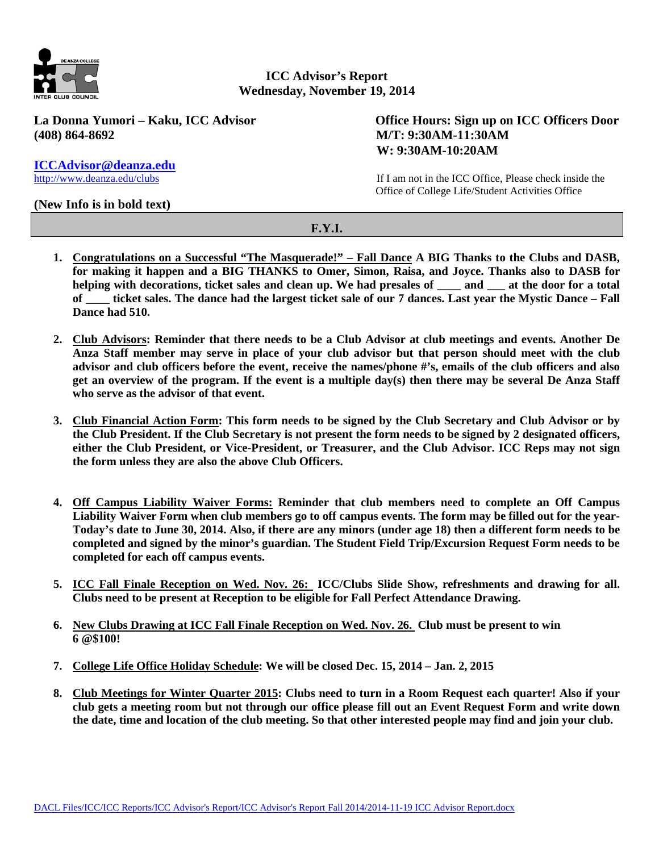

**ICC Advisor's Report Wednesday, November 19, 2014**

**(408) 864-8692 M/T: 9:30AM-11:30AM**

La Donna Yumori – Kaku, ICC Advisor **Office Hours: Sign up on ICC Officers Door W: 9:30AM-10:20AM**

> If I am not in the ICC Office, Please check inside the Office of College Life/Student Activities Office

## **(New Info is in bold text)**

**[ICCAdvisor@deanza.edu](mailto:ICCAdvisor@deanza.edu)** 

## **F.Y.I.**

- **1. Congratulations on a Successful "The Masquerade!" – Fall Dance A BIG Thanks to the Clubs and DASB, for making it happen and a BIG THANKS to Omer, Simon, Raisa, and Joyce. Thanks also to DASB for helping with decorations, ticket sales and clean up. We had presales of \_\_\_\_ and \_\_\_ at the door for a total of \_\_\_\_ ticket sales. The dance had the largest ticket sale of our 7 dances. Last year the Mystic Dance – Fall Dance had 510.**
- **2. Club Advisors: Reminder that there needs to be a Club Advisor at club meetings and events. Another De Anza Staff member may serve in place of your club advisor but that person should meet with the club advisor and club officers before the event, receive the names/phone #'s, emails of the club officers and also get an overview of the program. If the event is a multiple day(s) then there may be several De Anza Staff who serve as the advisor of that event.**
- **3. Club Financial Action Form: This form needs to be signed by the Club Secretary and Club Advisor or by the Club President. If the Club Secretary is not present the form needs to be signed by 2 designated officers, either the Club President, or Vice-President, or Treasurer, and the Club Advisor. ICC Reps may not sign the form unless they are also the above Club Officers.**
- **4. Off Campus Liability Waiver Forms: Reminder that club members need to complete an Off Campus Liability Waiver Form when club members go to off campus events. The form may be filled out for the year-Today's date to June 30, 2014. Also, if there are any minors (under age 18) then a different form needs to be completed and signed by the minor's guardian. The Student Field Trip/Excursion Request Form needs to be completed for each off campus events.**
- **5. ICC Fall Finale Reception on Wed. Nov. 26: ICC/Clubs Slide Show, refreshments and drawing for all. Clubs need to be present at Reception to be eligible for Fall Perfect Attendance Drawing.**
- **6. New Clubs Drawing at ICC Fall Finale Reception on Wed. Nov. 26. Club must be present to win 6 @\$100!**
- **7. College Life Office Holiday Schedule: We will be closed Dec. 15, 2014 – Jan. 2, 2015**
- **8. Club Meetings for Winter Quarter 2015: Clubs need to turn in a Room Request each quarter! Also if your club gets a meeting room but not through our office please fill out an Event Request Form and write down the date, time and location of the club meeting. So that other interested people may find and join your club.**